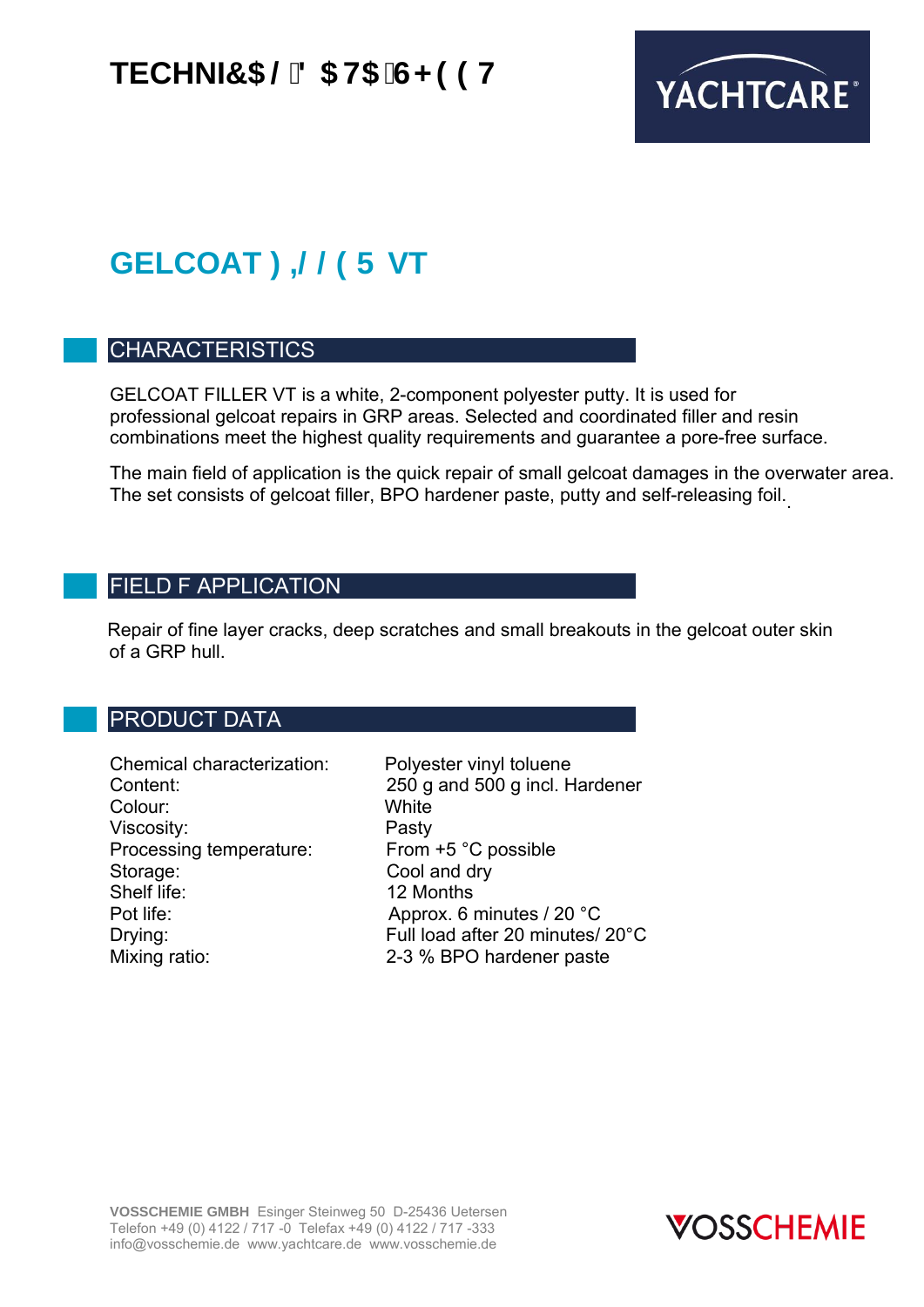## **TECHNI7 5 @8 5 H5 G<99H**



# **GELCOAT : = @@PF VT**

### CHARACTERISTICS

GELCOAT FILLER VT is a white, 2-component polyester putty. It is used for professional gelcoat repairs in GRP areas. Selected and coordinated filler and resin combinations meet the highest quality requirements and guarantee a pore-free surface.

The main field of application is the quick repair of small gelcoat damages in the overwater area. The set consists of gelcoat filler, BPO hardener paste, putty and self-releasing foil. .

### FIELD F APPLICATION

 Repair of fine layer cracks, deep scratches and small breakouts in the gelcoat outer skin of a GRP hull.

### PRODUCT DATA

Chemical characterization: Polyester vinyl toluene Colour: White Viscosity: Pasty<br>Processing temperature: From +5 °C possible Processing temperature: Storage: Cool and dry<br>
Shelf life: 12 Months Shelf life: 12 Months<br>Pot life: 12 Months

Content: 250 g and 500 g incl. Hardener Approx. 6 minutes / 20  $^{\circ}$ C Drying: Full load after 20 minutes/ 20°C Mixing ratio: 2-3 % BPO hardener paste

**VOSSCHEMIE GMBH** Esinger Steinweg 50 D-25436 Uetersen Telefon +49 (0) 4122 / 717 -0 Telefax +49 (0) 4122 / 717 -333 info@vosschemie.de www.yachtcare.de www.vosschemie.de